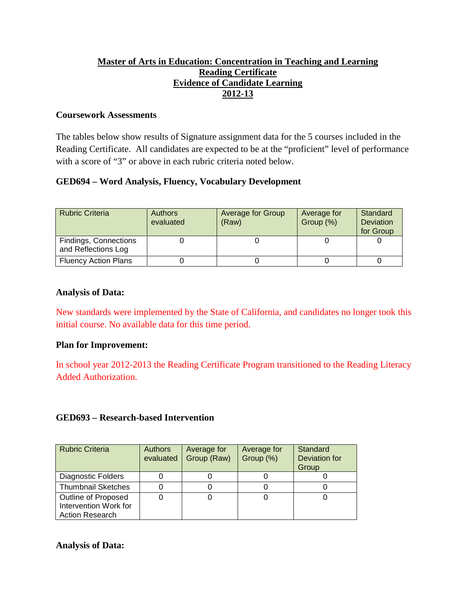## **Master of Arts in Education: Concentration in Teaching and Learning Reading Certificate Evidence of Candidate Learning 2012-13**

#### **Coursework Assessments**

The tables below show results of Signature assignment data for the 5 courses included in the Reading Certificate. All candidates are expected to be at the "proficient" level of performance with a score of "3" or above in each rubric criteria noted below.

## **GED694 – Word Analysis, Fluency, Vocabulary Development**

| <b>Rubric Criteria</b>                       | <b>Authors</b><br>evaluated | Average for Group<br>(Raw) | Average for<br>Group (%) | Standard<br><b>Deviation</b><br>for Group |
|----------------------------------------------|-----------------------------|----------------------------|--------------------------|-------------------------------------------|
| Findings, Connections<br>and Reflections Log |                             |                            |                          |                                           |
| <b>Fluency Action Plans</b>                  |                             |                            |                          |                                           |

#### **Analysis of Data:**

New standards were implemented by the State of California, and candidates no longer took this initial course. No available data for this time period.

## **Plan for Improvement:**

In school year 2012-2013 the Reading Certificate Program transitioned to the Reading Literacy Added Authorization.

## **GED693 – Research-based Intervention**

| <b>Rubric Criteria</b>                                                 | <b>Authors</b><br>evaluated | Average for<br>Group (Raw) | Average for<br>Group (%) | Standard<br><b>Deviation</b> for<br>Group |
|------------------------------------------------------------------------|-----------------------------|----------------------------|--------------------------|-------------------------------------------|
| <b>Diagnostic Folders</b>                                              |                             |                            |                          |                                           |
| <b>Thumbnail Sketches</b>                                              |                             |                            |                          |                                           |
| Outline of Proposed<br>Intervention Work for<br><b>Action Research</b> |                             |                            |                          |                                           |

**Analysis of Data:**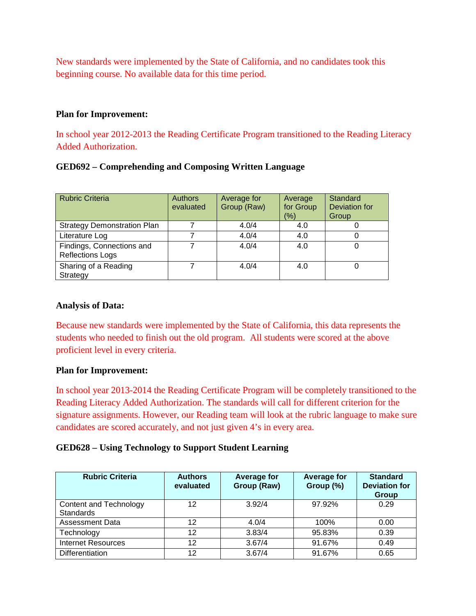New standards were implemented by the State of California, and no candidates took this beginning course. No available data for this time period.

#### **Plan for Improvement:**

In school year 2012-2013 the Reading Certificate Program transitioned to the Reading Literacy Added Authorization.

#### **GED692 – Comprehending and Composing Written Language**

| <b>Rubric Criteria</b>                               | <b>Authors</b><br>evaluated | Average for<br>Group (Raw) | Average<br>for Group<br>$(\% )$ | Standard<br>Deviation for<br>Group |
|------------------------------------------------------|-----------------------------|----------------------------|---------------------------------|------------------------------------|
| <b>Strategy Demonstration Plan</b>                   |                             | 4.0/4                      | 4.0                             |                                    |
| Literature Log                                       |                             | 4.0/4                      | 4.0                             |                                    |
| Findings, Connections and<br><b>Reflections Logs</b> |                             | 4.0/4                      | 4.0                             |                                    |
| Sharing of a Reading<br>Strategy                     |                             | 4.0/4                      | 4.0                             |                                    |

#### **Analysis of Data:**

Because new standards were implemented by the State of California, this data represents the students who needed to finish out the old program. All students were scored at the above proficient level in every criteria.

#### **Plan for Improvement:**

In school year 2013-2014 the Reading Certificate Program will be completely transitioned to the Reading Literacy Added Authorization. The standards will call for different criterion for the signature assignments. However, our Reading team will look at the rubric language to make sure candidates are scored accurately, and not just given 4's in every area.

#### **GED628 – Using Technology to Support Student Learning**

| <b>Rubric Criteria</b>                     | <b>Authors</b><br>evaluated | <b>Average for</b><br>Group (Raw) | <b>Average for</b><br>Group (%) | <b>Standard</b><br><b>Deviation for</b><br>Group |
|--------------------------------------------|-----------------------------|-----------------------------------|---------------------------------|--------------------------------------------------|
| Content and Technology<br><b>Standards</b> | 12                          | 3.92/4                            | 97.92%                          | 0.29                                             |
| Assessment Data                            | 12                          | 4.0/4                             | 100%                            | 0.00                                             |
| Technology                                 | 12                          | 3.83/4                            | 95.83%                          | 0.39                                             |
| <b>Internet Resources</b>                  | 12                          | 3.67/4                            | 91.67%                          | 0.49                                             |
| Differentiation                            | 12                          | 3.67/4                            | 91.67%                          | 0.65                                             |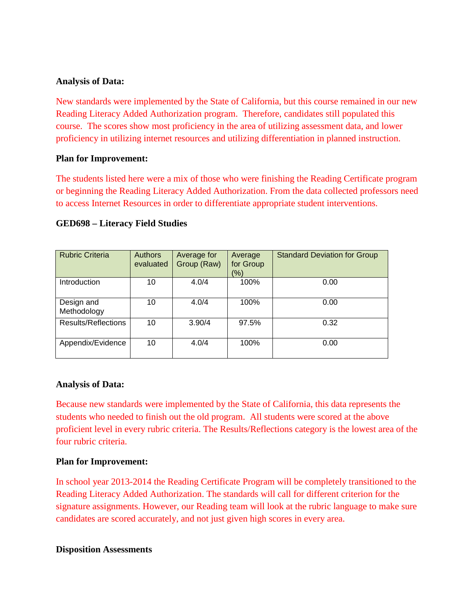New standards were implemented by the State of California, but this course remained in our new Reading Literacy Added Authorization program. Therefore, candidates still populated this course. The scores show most proficiency in the area of utilizing assessment data, and lower proficiency in utilizing internet resources and utilizing differentiation in planned instruction.

#### **Plan for Improvement:**

The students listed here were a mix of those who were finishing the Reading Certificate program or beginning the Reading Literacy Added Authorization. From the data collected professors need to access Internet Resources in order to differentiate appropriate student interventions.

| <b>Rubric Criteria</b>     | <b>Authors</b><br>evaluated | Average for<br>Group (Raw) | Average<br>for Group<br>(%) | <b>Standard Deviation for Group</b> |
|----------------------------|-----------------------------|----------------------------|-----------------------------|-------------------------------------|
| Introduction               | 10                          | 4.0/4                      | 100%                        | 0.00                                |
| Design and<br>Methodology  | 10                          | 4.0/4                      | 100%                        | 0.00                                |
| <b>Results/Reflections</b> | 10                          | 3.90/4                     | 97.5%                       | 0.32                                |
| Appendix/Evidence          | 10                          | 4.0/4                      | 100%                        | 0.00                                |

#### **GED698 – Literacy Field Studies**

#### **Analysis of Data:**

Because new standards were implemented by the State of California, this data represents the students who needed to finish out the old program. All students were scored at the above proficient level in every rubric criteria. The Results/Reflections category is the lowest area of the four rubric criteria.

#### **Plan for Improvement:**

In school year 2013-2014 the Reading Certificate Program will be completely transitioned to the Reading Literacy Added Authorization. The standards will call for different criterion for the signature assignments. However, our Reading team will look at the rubric language to make sure candidates are scored accurately, and not just given high scores in every area.

**Disposition Assessments**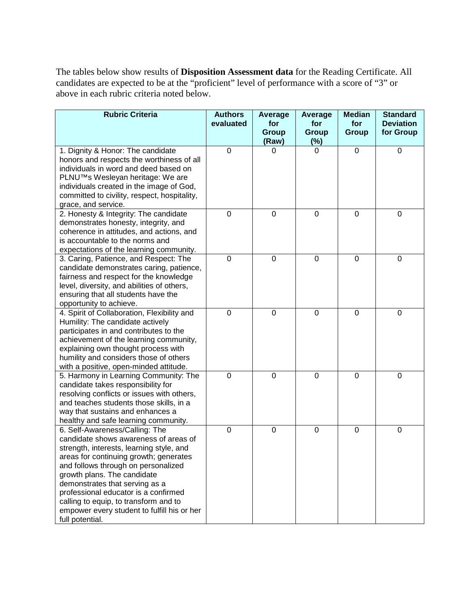The tables below show results of **Disposition Assessment data** for the Reading Certificate. All candidates are expected to be at the "proficient" level of performance with a score of "3" or above in each rubric criteria noted below.

| <b>Rubric Criteria</b>                                                        | <b>Authors</b><br>evaluated | Average<br>for | Average<br>for | <b>Median</b><br>for | <b>Standard</b><br><b>Deviation</b> |
|-------------------------------------------------------------------------------|-----------------------------|----------------|----------------|----------------------|-------------------------------------|
|                                                                               |                             | <b>Group</b>   | <b>Group</b>   | <b>Group</b>         | for Group                           |
|                                                                               |                             | (Raw)          | (%)            |                      |                                     |
| 1. Dignity & Honor: The candidate                                             | $\overline{0}$              | 0              | 0              | $\overline{0}$       | 0                                   |
| honors and respects the worthiness of all                                     |                             |                |                |                      |                                     |
| individuals in word and deed based on                                         |                             |                |                |                      |                                     |
| PLNU™s Wesleyan heritage: We are                                              |                             |                |                |                      |                                     |
| individuals created in the image of God,                                      |                             |                |                |                      |                                     |
| committed to civility, respect, hospitality,<br>grace, and service.           |                             |                |                |                      |                                     |
| 2. Honesty & Integrity: The candidate                                         | $\mathbf 0$                 | $\mathbf 0$    | 0              | $\mathbf 0$          | 0                                   |
| demonstrates honesty, integrity, and                                          |                             |                |                |                      |                                     |
| coherence in attitudes, and actions, and                                      |                             |                |                |                      |                                     |
| is accountable to the norms and                                               |                             |                |                |                      |                                     |
| expectations of the learning community.                                       |                             |                |                |                      |                                     |
| 3. Caring, Patience, and Respect: The                                         | $\overline{0}$              | $\mathbf 0$    | $\Omega$       | $\Omega$             | 0                                   |
| candidate demonstrates caring, patience,                                      |                             |                |                |                      |                                     |
| fairness and respect for the knowledge                                        |                             |                |                |                      |                                     |
| level, diversity, and abilities of others,                                    |                             |                |                |                      |                                     |
| ensuring that all students have the                                           |                             |                |                |                      |                                     |
| opportunity to achieve.                                                       |                             |                |                |                      |                                     |
| 4. Spirit of Collaboration, Flexibility and                                   | $\mathbf 0$                 | $\mathbf 0$    | $\mathbf 0$    | $\mathbf 0$          | 0                                   |
| Humility: The candidate actively                                              |                             |                |                |                      |                                     |
| participates in and contributes to the                                        |                             |                |                |                      |                                     |
| achievement of the learning community,                                        |                             |                |                |                      |                                     |
| explaining own thought process with<br>humility and considers those of others |                             |                |                |                      |                                     |
| with a positive, open-minded attitude.                                        |                             |                |                |                      |                                     |
| 5. Harmony in Learning Community: The                                         | $\overline{0}$              | $\mathbf 0$    | 0              | $\overline{0}$       | 0                                   |
| candidate takes responsibility for                                            |                             |                |                |                      |                                     |
| resolving conflicts or issues with others,                                    |                             |                |                |                      |                                     |
| and teaches students those skills, in a                                       |                             |                |                |                      |                                     |
| way that sustains and enhances a                                              |                             |                |                |                      |                                     |
| healthy and safe learning community.                                          |                             |                |                |                      |                                     |
| 6. Self-Awareness/Calling: The                                                | $\overline{0}$              | $\mathbf 0$    | $\mathbf 0$    | $\mathbf 0$          | 0                                   |
| candidate shows awareness of areas of                                         |                             |                |                |                      |                                     |
| strength, interests, learning style, and                                      |                             |                |                |                      |                                     |
| areas for continuing growth; generates                                        |                             |                |                |                      |                                     |
| and follows through on personalized                                           |                             |                |                |                      |                                     |
| growth plans. The candidate<br>demonstrates that serving as a                 |                             |                |                |                      |                                     |
| professional educator is a confirmed                                          |                             |                |                |                      |                                     |
| calling to equip, to transform and to                                         |                             |                |                |                      |                                     |
| empower every student to fulfill his or her                                   |                             |                |                |                      |                                     |
| full potential.                                                               |                             |                |                |                      |                                     |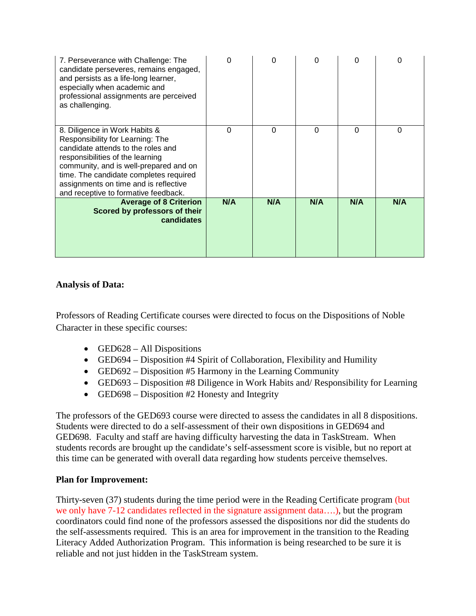| 7. Perseverance with Challenge: The<br>candidate perseveres, remains engaged,<br>and persists as a life-long learner,<br>especially when academic and<br>professional assignments are perceived<br>as challenging.                                                                                               | ი   | 0        | O        | O        | 0   |
|------------------------------------------------------------------------------------------------------------------------------------------------------------------------------------------------------------------------------------------------------------------------------------------------------------------|-----|----------|----------|----------|-----|
| 8. Diligence in Work Habits &<br>Responsibility for Learning: The<br>candidate attends to the roles and<br>responsibilities of the learning<br>community, and is well-prepared and on<br>time. The candidate completes required<br>assignments on time and is reflective<br>and receptive to formative feedback. | 0   | $\Omega$ | $\Omega$ | $\Omega$ | 0   |
| <b>Average of 8 Criterion</b><br>Scored by professors of their<br>candidates                                                                                                                                                                                                                                     | N/A | N/A      | N/A      | N/A      | N/A |

Professors of Reading Certificate courses were directed to focus on the Dispositions of Noble Character in these specific courses:

- GED628 All Dispositions
- GED694 Disposition #4 Spirit of Collaboration, Flexibility and Humility
- GED692 Disposition #5 Harmony in the Learning Community
- GED693 Disposition #8 Diligence in Work Habits and/ Responsibility for Learning
- GED698 Disposition #2 Honesty and Integrity

The professors of the GED693 course were directed to assess the candidates in all 8 dispositions. Students were directed to do a self-assessment of their own dispositions in GED694 and GED698. Faculty and staff are having difficulty harvesting the data in TaskStream. When students records are brought up the candidate's self-assessment score is visible, but no report at this time can be generated with overall data regarding how students perceive themselves.

## **Plan for Improvement:**

Thirty-seven (37) students during the time period were in the Reading Certificate program (but we only have 7-12 candidates reflected in the signature assignment data….), but the program coordinators could find none of the professors assessed the dispositions nor did the students do the self-assessments required. This is an area for improvement in the transition to the Reading Literacy Added Authorization Program. This information is being researched to be sure it is reliable and not just hidden in the TaskStream system.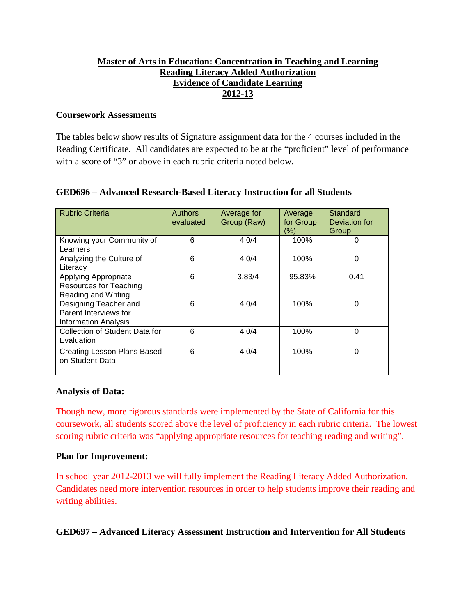# **Master of Arts in Education: Concentration in Teaching and Learning Reading Literacy Added Authorization Evidence of Candidate Learning 2012-13**

#### **Coursework Assessments**

The tables below show results of Signature assignment data for the 4 courses included in the Reading Certificate. All candidates are expected to be at the "proficient" level of performance with a score of "3" or above in each rubric criteria noted below.

| <b>Rubric Criteria</b>                                                        | <b>Authors</b><br>evaluated | Average for<br>Group (Raw) | Average<br>for Group<br>(%) | Standard<br>Deviation for<br>Group |
|-------------------------------------------------------------------------------|-----------------------------|----------------------------|-----------------------------|------------------------------------|
| Knowing your Community of<br>Learners                                         | 6                           | 4.0/4                      | 100%                        | 0                                  |
| Analyzing the Culture of<br>Literacy                                          | 6                           | 4.0/4                      | 100%                        | $\mathbf{0}$                       |
| <b>Applying Appropriate</b><br>Resources for Teaching<br>Reading and Writing  | 6                           | 3.83/4                     | 95.83%                      | 0.41                               |
| Designing Teacher and<br>Parent Interviews for<br><b>Information Analysis</b> | 6                           | 4.0/4                      | 100%                        | $\Omega$                           |
| Collection of Student Data for<br>Evaluation                                  | 6                           | 4.0/4                      | 100%                        | $\Omega$                           |
| Creating Lesson Plans Based<br>on Student Data                                | 6                           | 4.0/4                      | 100%                        | $\Omega$                           |

## **GED696 – Advanced Research-Based Literacy Instruction for all Students**

## **Analysis of Data:**

Though new, more rigorous standards were implemented by the State of California for this coursework, all students scored above the level of proficiency in each rubric criteria. The lowest scoring rubric criteria was "applying appropriate resources for teaching reading and writing".

## **Plan for Improvement:**

In school year 2012-2013 we will fully implement the Reading Literacy Added Authorization. Candidates need more intervention resources in order to help students improve their reading and writing abilities.

## **GED697 – Advanced Literacy Assessment Instruction and Intervention for All Students**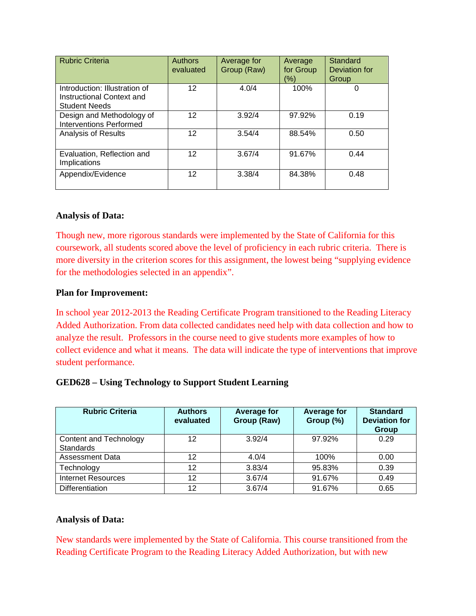| <b>Rubric Criteria</b>                                                             | <b>Authors</b><br>evaluated | Average for<br>Group (Raw) | Average<br>for Group<br>(%) | Standard<br>Deviation for<br>Group |
|------------------------------------------------------------------------------------|-----------------------------|----------------------------|-----------------------------|------------------------------------|
| Introduction: Illustration of<br>Instructional Context and<br><b>Student Needs</b> | 12                          | 4.0/4                      | 100%                        | 0                                  |
| Design and Methodology of<br><b>Interventions Performed</b>                        | 12                          | 3.92/4                     | 97.92%                      | 0.19                               |
| <b>Analysis of Results</b>                                                         | 12                          | 3.54/4                     | 88.54%                      | 0.50                               |
| Evaluation, Reflection and<br>Implications                                         | 12                          | 3.67/4                     | 91.67%                      | 0.44                               |
| Appendix/Evidence                                                                  | 12                          | 3.38/4                     | 84.38%                      | 0.48                               |

Though new, more rigorous standards were implemented by the State of California for this coursework, all students scored above the level of proficiency in each rubric criteria. There is more diversity in the criterion scores for this assignment, the lowest being "supplying evidence for the methodologies selected in an appendix".

#### **Plan for Improvement:**

In school year 2012-2013 the Reading Certificate Program transitioned to the Reading Literacy Added Authorization. From data collected candidates need help with data collection and how to analyze the result. Professors in the course need to give students more examples of how to collect evidence and what it means. The data will indicate the type of interventions that improve student performance.

#### **GED628 – Using Technology to Support Student Learning**

| <b>Rubric Criteria</b>                     | <b>Authors</b><br>evaluated | <b>Average for</b><br>Group (Raw) | <b>Average for</b><br>Group (%) | <b>Standard</b><br><b>Deviation for</b><br>Group |
|--------------------------------------------|-----------------------------|-----------------------------------|---------------------------------|--------------------------------------------------|
| Content and Technology<br><b>Standards</b> | 12                          | 3.92/4                            | 97.92%                          | 0.29                                             |
| <b>Assessment Data</b>                     | 12                          | 4.0/4                             | 100%                            | 0.00                                             |
| Technology                                 | 12                          | 3.83/4                            | 95.83%                          | 0.39                                             |
| <b>Internet Resources</b>                  | 12                          | 3.67/4                            | 91.67%                          | 0.49                                             |
| <b>Differentiation</b>                     | 12                          | 3.67/4                            | 91.67%                          | 0.65                                             |

#### **Analysis of Data:**

New standards were implemented by the State of California. This course transitioned from the Reading Certificate Program to the Reading Literacy Added Authorization, but with new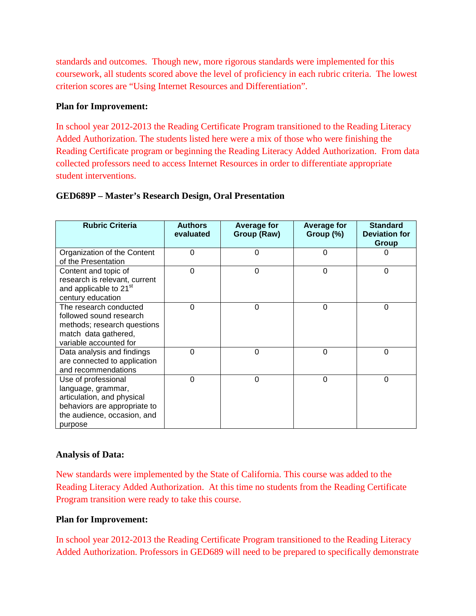standards and outcomes. Though new, more rigorous standards were implemented for this coursework, all students scored above the level of proficiency in each rubric criteria. The lowest criterion scores are "Using Internet Resources and Differentiation".

#### **Plan for Improvement:**

In school year 2012-2013 the Reading Certificate Program transitioned to the Reading Literacy Added Authorization. The students listed here were a mix of those who were finishing the Reading Certificate program or beginning the Reading Literacy Added Authorization. From data collected professors need to access Internet Resources in order to differentiate appropriate student interventions.

| <b>Rubric Criteria</b>                                                                                                                            | <b>Authors</b><br>evaluated | <b>Average for</b><br>Group (Raw) | <b>Average for</b><br>Group $(\%)$ | <b>Standard</b><br><b>Deviation for</b><br>Group |
|---------------------------------------------------------------------------------------------------------------------------------------------------|-----------------------------|-----------------------------------|------------------------------------|--------------------------------------------------|
| Organization of the Content<br>of the Presentation                                                                                                | $\Omega$                    | 0                                 | $\Omega$                           | 0                                                |
| Content and topic of<br>research is relevant, current<br>and applicable to 21 <sup>st</sup><br>century education                                  | $\Omega$                    | $\Omega$                          | $\Omega$                           | $\Omega$                                         |
| The research conducted<br>followed sound research<br>methods; research questions<br>match data gathered,<br>variable accounted for                | $\Omega$                    | 0                                 | $\Omega$                           | $\Omega$                                         |
| Data analysis and findings<br>are connected to application<br>and recommendations                                                                 | $\Omega$                    | 0                                 | $\Omega$                           | $\Omega$                                         |
| Use of professional<br>language, grammar,<br>articulation, and physical<br>behaviors are appropriate to<br>the audience, occasion, and<br>purpose | $\Omega$                    | 0                                 | $\Omega$                           | $\overline{0}$                                   |

#### **GED689P – Master's Research Design, Oral Presentation**

## **Analysis of Data:**

New standards were implemented by the State of California. This course was added to the Reading Literacy Added Authorization. At this time no students from the Reading Certificate Program transition were ready to take this course.

#### **Plan for Improvement:**

In school year 2012-2013 the Reading Certificate Program transitioned to the Reading Literacy Added Authorization. Professors in GED689 will need to be prepared to specifically demonstrate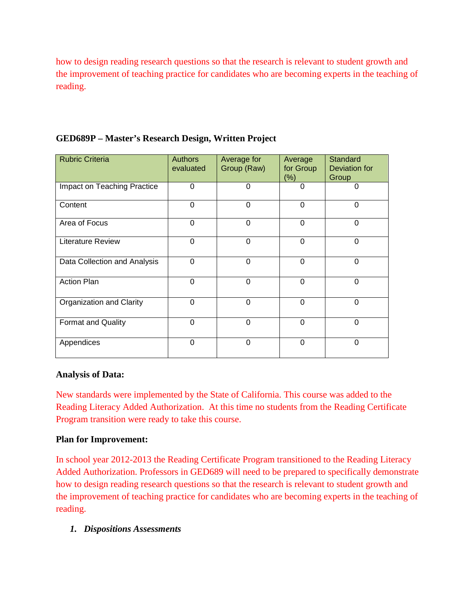how to design reading research questions so that the research is relevant to student growth and the improvement of teaching practice for candidates who are becoming experts in the teaching of reading.

| <b>Rubric Criteria</b>       | <b>Authors</b><br>evaluated | Average for<br>Group (Raw) | Average<br>for Group<br>$(\%)$ | Standard<br>Deviation for<br>Group |
|------------------------------|-----------------------------|----------------------------|--------------------------------|------------------------------------|
| Impact on Teaching Practice  | $\Omega$                    | $\Omega$                   | 0                              | $\Omega$                           |
| Content                      | $\Omega$                    | $\Omega$                   | $\Omega$                       | 0                                  |
| Area of Focus                | 0                           | 0                          | 0                              | 0                                  |
| <b>Literature Review</b>     | $\Omega$                    | $\Omega$                   | $\Omega$                       | $\Omega$                           |
| Data Collection and Analysis | 0                           | 0                          | 0                              | 0                                  |
| <b>Action Plan</b>           | $\Omega$                    | $\Omega$                   | $\Omega$                       | $\Omega$                           |
| Organization and Clarity     | $\Omega$                    | $\Omega$                   | $\Omega$                       | $\Omega$                           |
| <b>Format and Quality</b>    | $\Omega$                    | 0                          | 0                              | 0                                  |
| Appendices                   | $\Omega$                    | $\Omega$                   | 0                              | $\Omega$                           |

# **GED689P – Master's Research Design, Written Project**

## **Analysis of Data:**

New standards were implemented by the State of California. This course was added to the Reading Literacy Added Authorization. At this time no students from the Reading Certificate Program transition were ready to take this course.

## **Plan for Improvement:**

In school year 2012-2013 the Reading Certificate Program transitioned to the Reading Literacy Added Authorization. Professors in GED689 will need to be prepared to specifically demonstrate how to design reading research questions so that the research is relevant to student growth and the improvement of teaching practice for candidates who are becoming experts in the teaching of reading.

## *1. Dispositions Assessments*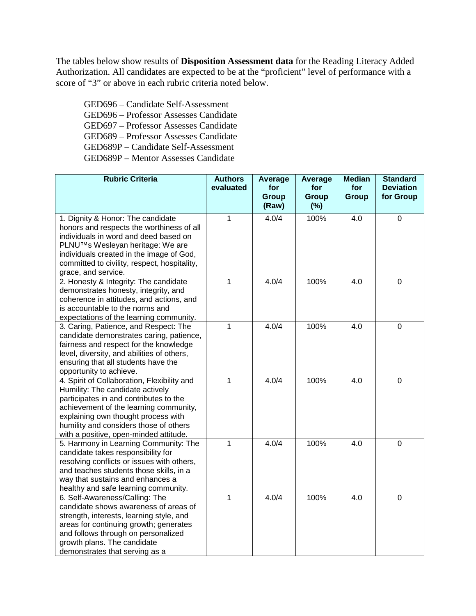The tables below show results of **Disposition Assessment data** for the Reading Literacy Added Authorization. All candidates are expected to be at the "proficient" level of performance with a score of "3" or above in each rubric criteria noted below.

GED696 – Candidate Self-Assessment GED696 – Professor Assesses Candidate GED697 – Professor Assesses Candidate GED689 – Professor Assesses Candidate GED689P – Candidate Self-Assessment GED689P – Mentor Assesses Candidate

| <b>Rubric Criteria</b>                                                  | <b>Authors</b><br>evaluated | <b>Average</b><br>for | <b>Average</b><br>for | <b>Median</b><br>for | <b>Standard</b><br><b>Deviation</b> |
|-------------------------------------------------------------------------|-----------------------------|-----------------------|-----------------------|----------------------|-------------------------------------|
|                                                                         |                             | <b>Group</b><br>(Raw) | Group<br>(%)          | <b>Group</b>         | for Group                           |
| 1. Dignity & Honor: The candidate                                       | 1                           | 4.0/4                 | 100%                  | 4.0                  | $\mathbf 0$                         |
| honors and respects the worthiness of all                               |                             |                       |                       |                      |                                     |
| individuals in word and deed based on                                   |                             |                       |                       |                      |                                     |
| PLNU™s Wesleyan heritage: We are                                        |                             |                       |                       |                      |                                     |
| individuals created in the image of God,                                |                             |                       |                       |                      |                                     |
| committed to civility, respect, hospitality,                            |                             |                       |                       |                      |                                     |
| grace, and service.                                                     |                             |                       |                       |                      |                                     |
| 2. Honesty & Integrity: The candidate                                   | 1                           | 4.0/4                 | 100%                  | 4.0                  | $\mathbf 0$                         |
| demonstrates honesty, integrity, and                                    |                             |                       |                       |                      |                                     |
| coherence in attitudes, and actions, and                                |                             |                       |                       |                      |                                     |
| is accountable to the norms and                                         |                             |                       |                       |                      |                                     |
| expectations of the learning community.                                 |                             |                       |                       |                      |                                     |
| 3. Caring, Patience, and Respect: The                                   | 1                           | 4.0/4                 | 100%                  | 4.0                  | $\overline{0}$                      |
| candidate demonstrates caring, patience,                                |                             |                       |                       |                      |                                     |
| fairness and respect for the knowledge                                  |                             |                       |                       |                      |                                     |
| level, diversity, and abilities of others,                              |                             |                       |                       |                      |                                     |
| ensuring that all students have the                                     |                             |                       |                       |                      |                                     |
| opportunity to achieve.                                                 |                             |                       |                       |                      |                                     |
| 4. Spirit of Collaboration, Flexibility and                             | $\overline{1}$              | 4.0/4                 | 100%                  | $\overline{4.0}$     | $\mathbf 0$                         |
| Humility: The candidate actively                                        |                             |                       |                       |                      |                                     |
| participates in and contributes to the                                  |                             |                       |                       |                      |                                     |
| achievement of the learning community,                                  |                             |                       |                       |                      |                                     |
| explaining own thought process with                                     |                             |                       |                       |                      |                                     |
| humility and considers those of others                                  |                             |                       |                       |                      |                                     |
| with a positive, open-minded attitude.                                  |                             |                       |                       |                      |                                     |
| 5. Harmony in Learning Community: The                                   | 1                           | 4.0/4                 | 100%                  | 4.0                  | $\mathbf 0$                         |
| candidate takes responsibility for                                      |                             |                       |                       |                      |                                     |
| resolving conflicts or issues with others,                              |                             |                       |                       |                      |                                     |
| and teaches students those skills, in a                                 |                             |                       |                       |                      |                                     |
| way that sustains and enhances a                                        |                             |                       |                       |                      |                                     |
| healthy and safe learning community.                                    | $\mathbf{1}$                | 4.0/4                 | 100%                  | 4.0                  | $\mathbf 0$                         |
| 6. Self-Awareness/Calling: The<br>candidate shows awareness of areas of |                             |                       |                       |                      |                                     |
| strength, interests, learning style, and                                |                             |                       |                       |                      |                                     |
| areas for continuing growth; generates                                  |                             |                       |                       |                      |                                     |
| and follows through on personalized                                     |                             |                       |                       |                      |                                     |
| growth plans. The candidate                                             |                             |                       |                       |                      |                                     |
| demonstrates that serving as a                                          |                             |                       |                       |                      |                                     |